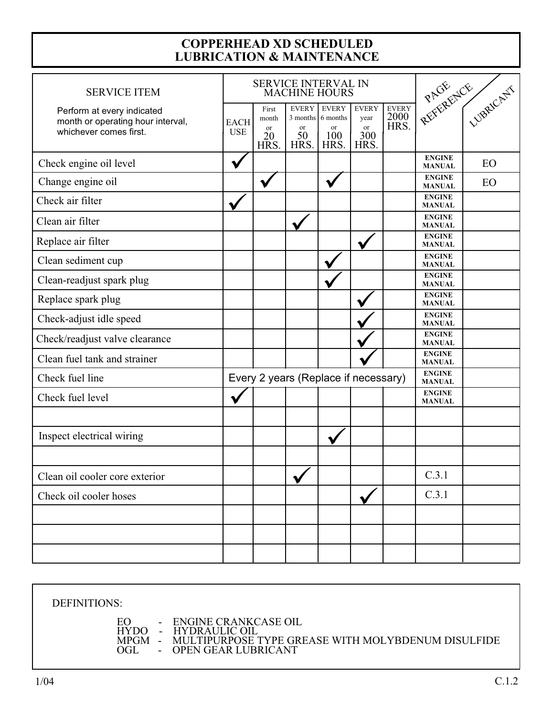## **COPPERHEAD XD SCHEDULED<br>LUBRICATION & MAINTENANCE**

| <b>SERVICE ITEM</b>                                                                       | SERVICE INTERVAL IN<br><b>MACHINE HOURS</b> |                                               |                                  |                                                               |                                           |                              | REFERENCE                      |    |
|-------------------------------------------------------------------------------------------|---------------------------------------------|-----------------------------------------------|----------------------------------|---------------------------------------------------------------|-------------------------------------------|------------------------------|--------------------------------|----|
| Perform at every indicated<br>month or operating hour interval,<br>whichever comes first. | <b>EACH</b><br><b>USE</b>                   | First<br>month<br><sub>or</sub><br>20<br>HRS. | <b>EVERY</b><br>or<br>50<br>HRS. | <b>EVERY</b><br>3 months 6 months<br><b>or</b><br>100<br>HRS. | <b>EVERY</b><br>year<br>or<br>300<br>HRS. | <b>EVERY</b><br>2000<br>HRS. |                                |    |
| Check engine oil level                                                                    |                                             |                                               |                                  |                                                               |                                           |                              | <b>ENGINE</b><br><b>MANUAL</b> | EO |
| Change engine oil                                                                         |                                             |                                               |                                  | ✔                                                             |                                           |                              | <b>ENGINE</b><br><b>MANUAL</b> | EO |
| Check air filter                                                                          |                                             |                                               |                                  |                                                               |                                           |                              | <b>ENGINE</b><br><b>MANUAL</b> |    |
| Clean air filter                                                                          |                                             |                                               |                                  |                                                               |                                           |                              | <b>ENGINE</b><br><b>MANUAL</b> |    |
| Replace air filter                                                                        |                                             |                                               |                                  |                                                               |                                           |                              | <b>ENGINE</b><br><b>MANUAL</b> |    |
| Clean sediment cup                                                                        |                                             |                                               |                                  |                                                               |                                           |                              | <b>ENGINE</b><br><b>MANUAL</b> |    |
| Clean-readjust spark plug                                                                 |                                             |                                               |                                  |                                                               |                                           |                              | <b>ENGINE</b><br><b>MANUAL</b> |    |
| Replace spark plug                                                                        |                                             |                                               |                                  |                                                               |                                           |                              | <b>ENGINE</b><br><b>MANUAL</b> |    |
| Check-adjust idle speed                                                                   |                                             |                                               |                                  |                                                               |                                           |                              | <b>ENGINE</b><br><b>MANUAL</b> |    |
| Check/readjust valve clearance                                                            |                                             |                                               |                                  |                                                               |                                           |                              | <b>ENGINE</b><br><b>MANUAL</b> |    |
| Clean fuel tank and strainer                                                              |                                             |                                               |                                  |                                                               |                                           |                              | <b>ENGINE</b><br><b>MANUAL</b> |    |
| Check fuel line                                                                           | Every 2 years (Replace if necessary)        |                                               |                                  |                                                               |                                           |                              | <b>ENGINE</b><br><b>MANUAL</b> |    |
| Check fuel level                                                                          |                                             |                                               |                                  |                                                               |                                           |                              | <b>ENGINE</b><br><b>MANUAL</b> |    |
|                                                                                           |                                             |                                               |                                  |                                                               |                                           |                              |                                |    |
| Inspect electrical wiring                                                                 |                                             |                                               |                                  |                                                               |                                           |                              |                                |    |
|                                                                                           |                                             |                                               |                                  |                                                               |                                           |                              |                                |    |
| Clean oil cooler core exterior                                                            |                                             |                                               | V                                |                                                               |                                           |                              | C.3.1                          |    |
| Check oil cooler hoses                                                                    |                                             |                                               |                                  |                                                               |                                           |                              | C.3.1                          |    |
|                                                                                           |                                             |                                               |                                  |                                                               |                                           |                              |                                |    |
|                                                                                           |                                             |                                               |                                  |                                                               |                                           |                              |                                |    |
|                                                                                           |                                             |                                               |                                  |                                                               |                                           |                              |                                |    |

DEFINITIONS: ENGINE CRANKCASE OIL<br>HYDRAULIC OIL<br>MULTIPURPOSE TYPE GREASE WITH MOLYBDENUM DISULFIDE<br>OPEN GEAR LUBRICANT EO  $\sim$ HYDO -<br>MPGM -<br>OGL -